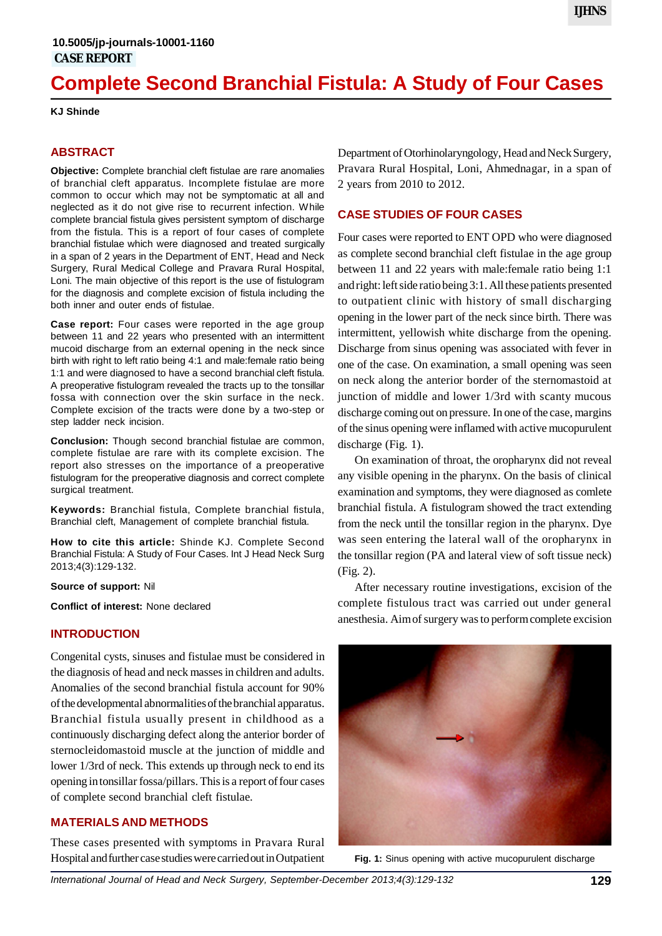# **Complete Second Branchial Fistula: A Study of Four Cases**

**KJ Shinde**

#### **ABSTRACT**

**Objective:** Complete branchial cleft fistulae are rare anomalies of branchial cleft apparatus. Incomplete fistulae are more common to occur which may not be symptomatic at all and neglected as it do not give rise to recurrent infection. While complete brancial fistula gives persistent symptom of discharge from the fistula. This is a report of four cases of complete branchial fistulae which were diagnosed and treated surgically in a span of 2 years in the Department of ENT, Head and Neck Surgery, Rural Medical College and Pravara Rural Hospital, Loni. The main objective of this report is the use of fistulogram for the diagnosis and complete excision of fistula including the both inner and outer ends of fistulae.

**Case report:** Four cases were reported in the age group between 11 and 22 years who presented with an intermittent mucoid discharge from an external opening in the neck since birth with right to left ratio being 4:1 and male:female ratio being 1:1 and were diagnosed to have a second branchial cleft fistula. A preoperative fistulogram revealed the tracts up to the tonsillar fossa with connection over the skin surface in the neck. Complete excision of the tracts were done by a two-step or step ladder neck incision.

**Conclusion:** Though second branchial fistulae are common, complete fistulae are rare with its complete excision. The report also stresses on the importance of a preoperative fistulogram for the preoperative diagnosis and correct complete surgical treatment.

**Keywords:** Branchial fistula, Complete branchial fistula, Branchial cleft, Management of complete branchial fistula.

**How to cite this article:** Shinde KJ. Complete Second Branchial Fistula: A Study of Four Cases. Int J Head Neck Surg 2013;4(3):129-132.

**Source of support:** Nil

**Conflict of interest:** None declared

#### **INTRODUCTION**

Congenital cysts, sinuses and fistulae must be considered in the diagnosis of head and neck masses in children and adults. Anomalies of the second branchial fistula account for 90% of the developmental abnormalities of the branchial apparatus. Branchial fistula usually present in childhood as a continuously discharging defect along the anterior border of sternocleidomastoid muscle at the junction of middle and lower 1/3rd of neck. This extends up through neck to end its opening in tonsillar fossa/pillars. This is a report of four cases of complete second branchial cleft fistulae.

### **MATERIALS AND METHODS**

These cases presented with symptoms in Pravara Rural Hospital and further case studies were carried out inOutpatient Department of Otorhinolaryngology, Head and Neck Surgery, Pravara Rural Hospital, Loni, Ahmednagar, in a span of 2 years from 2010 to 2012.

#### **CASE STUDIES OF FOUR CASES**

Four cases were reported to ENT OPD who were diagnosed as complete second branchial cleft fistulae in the age group between 11 and 22 years with male:female ratio being 1:1 and right: left side ratio being 3:1. All these patients presented to outpatient clinic with history of small discharging opening in the lower part of the neck since birth. There was intermittent, yellowish white discharge from the opening. Discharge from sinus opening was associated with fever in one of the case. On examination, a small opening was seen on neck along the anterior border of the sternomastoid at junction of middle and lower 1/3rd with scanty mucous discharge coming out on pressure. In one of the case, margins of the sinus opening were inflamed with active mucopurulent discharge (Fig. 1).

On examination of throat, the oropharynx did not reveal any visible opening in the pharynx. On the basis of clinical examination and symptoms, they were diagnosed as comlete branchial fistula. A fistulogram showed the tract extending from the neck until the tonsillar region in the pharynx. Dye was seen entering the lateral wall of the oropharynx in the tonsillar region (PA and lateral view of soft tissue neck) (Fig. 2).

After necessary routine investigations, excision of the complete fistulous tract was carried out under general anesthesia. Aim of surgery was to perform complete excision



**Fig. 1:** Sinus opening with active mucopurulent discharge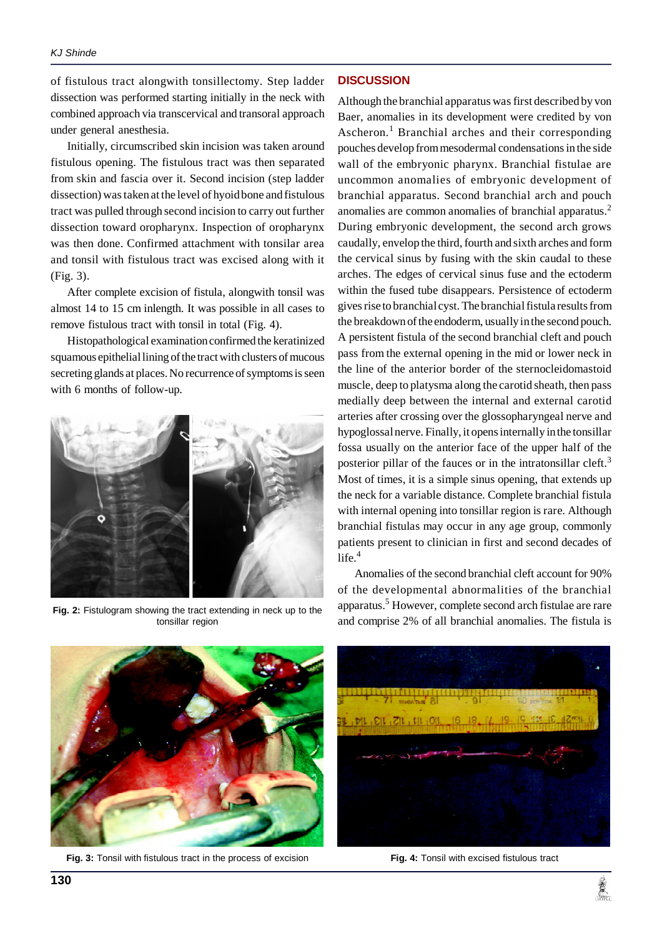of fistulous tract alongwith tonsillectomy. Step ladder dissection was performed starting initially in the neck with combined approach via transcervical and transoral approach under general anesthesia.

Initially, circumscribed skin incision was taken around fistulous opening. The fistulous tract was then separated from skin and fascia over it. Second incision (step ladder dissection) was taken at the level of hyoid bone and fistulous tract was pulled through second incision to carry out further dissection toward oropharynx. Inspection of oropharynx was then done. Confirmed attachment with tonsilar area and tonsil with fistulous tract was excised along with it (Fig. 3).

After complete excision of fistula, alongwith tonsil was almost 14 to 15 cm inlength. It was possible in all cases to remove fistulous tract with tonsil in total (Fig. 4).

Histopathological examination confirmed the keratinized squamous epithelial lining of the tract with clusters of mucous secreting glands at places. No recurrence of symptoms is seen with 6 months of follow-up.



**Fig. 2:** Fistulogram showing the tract extending in neck up to the tonsillar region

#### **DISCUSSION**

Although the branchial apparatus was first described by von Baer, anomalies in its development were credited by von Ascheron.<sup>1</sup> Branchial arches and their corresponding pouches develop from mesodermal condensations in the side wall of the embryonic pharynx. Branchial fistulae are uncommon anomalies of embryonic development of branchial apparatus. Second branchial arch and pouch anomalies are common anomalies of branchial apparatus.<sup>2</sup> During embryonic development, the second arch grows caudally, envelop the third, fourth and sixth arches and form the cervical sinus by fusing with the skin caudal to these arches. The edges of cervical sinus fuse and the ectoderm within the fused tube disappears. Persistence of ectoderm gives rise to branchial cyst. The branchial fistula results from the breakdown of the endoderm, usually in the second pouch. A persistent fistula of the second branchial cleft and pouch pass from the external opening in the mid or lower neck in the line of the anterior border of the sternocleidomastoid muscle, deep to platysma along the carotid sheath, then pass medially deep between the internal and external carotid arteries after crossing over the glossopharyngeal nerve and hypoglossal nerve. Finally, it opens internally in the tonsillar fossa usually on the anterior face of the upper half of the posterior pillar of the fauces or in the intratonsillar cleft.<sup>3</sup> Most of times, it is a simple sinus opening, that extends up the neck for a variable distance. Complete branchial fistula with internal opening into tonsillar region is rare. Although branchial fistulas may occur in any age group, commonly patients present to clinician in first and second decades of life $4$ 

Anomalies of the second branchial cleft account for 90% of the developmental abnormalities of the branchial apparatus.<sup>5</sup> However, complete second arch fistulae are rare and comprise 2% of all branchial anomalies. The fistula is



**Fig. 3:** Tonsil with fistulous tract in the process of excision **Fig. 4:** Tonsil with excised fistulous tract

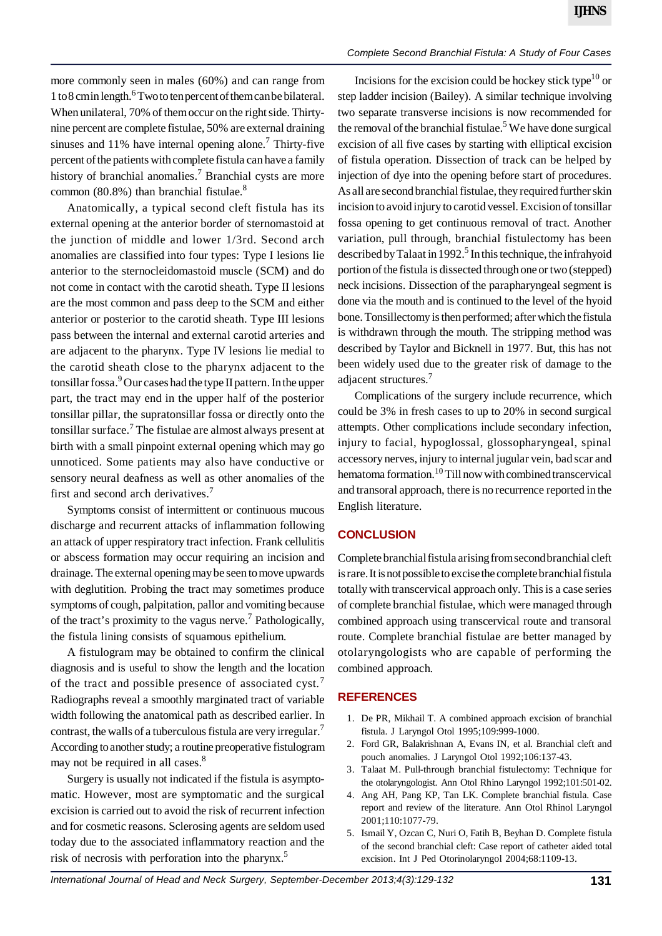more commonly seen in males (60%) and can range from 1 to 8 cm in length.<sup>6</sup> Two to ten percent of them can be bilateral. When unilateral, 70% of them occur on the right side. Thirtynine percent are complete fistulae, 50% are external draining sinuses and 11% have internal opening alone.<sup>7</sup> Thirty-five percent of the patients with complete fistula can have a family history of branchial anomalies.<sup>7</sup> Branchial cysts are more common (80.8%) than branchial fistulae.<sup>8</sup>

Anatomically, a typical second cleft fistula has its external opening at the anterior border of sternomastoid at the junction of middle and lower 1/3rd. Second arch anomalies are classified into four types: Type I lesions lie anterior to the sternocleidomastoid muscle (SCM) and do not come in contact with the carotid sheath. Type II lesions are the most common and pass deep to the SCM and either anterior or posterior to the carotid sheath. Type III lesions pass between the internal and external carotid arteries and are adjacent to the pharynx. Type IV lesions lie medial to the carotid sheath close to the pharynx adjacent to the tonsillar fossa.<sup>9</sup> Our cases had the type II pattern. In the upper part, the tract may end in the upper half of the posterior tonsillar pillar, the supratonsillar fossa or directly onto the tonsillar surface.<sup>7</sup> The fistulae are almost always present at birth with a small pinpoint external opening which may go unnoticed. Some patients may also have conductive or sensory neural deafness as well as other anomalies of the first and second arch derivatives.<sup>7</sup>

Symptoms consist of intermittent or continuous mucous discharge and recurrent attacks of inflammation following an attack of upper respiratory tract infection. Frank cellulitis or abscess formation may occur requiring an incision and drainage. The external opening may be seen to move upwards with deglutition. Probing the tract may sometimes produce symptoms of cough, palpitation, pallor and vomiting because of the tract's proximity to the vagus nerve.<sup>7</sup> Pathologically, the fistula lining consists of squamous epithelium.

A fistulogram may be obtained to confirm the clinical diagnosis and is useful to show the length and the location of the tract and possible presence of associated cyst.<sup>7</sup> Radiographs reveal a smoothly marginated tract of variable width following the anatomical path as described earlier. In contrast, the walls of a tuberculous fistula are very irregular.<sup>7</sup> According to another study; a routine preoperative fistulogram may not be required in all cases.<sup>8</sup>

Surgery is usually not indicated if the fistula is asymptomatic. However, most are symptomatic and the surgical excision is carried out to avoid the risk of recurrent infection and for cosmetic reasons. Sclerosing agents are seldom used today due to the associated inflammatory reaction and the risk of necrosis with perforation into the pharynx.<sup>5</sup>

Incisions for the excision could be hockey stick type $10$  or step ladder incision (Bailey). A similar technique involving two separate transverse incisions is now recommended for the removal of the branchial fistulae.<sup>5</sup> We have done surgical excision of all five cases by starting with elliptical excision of fistula operation. Dissection of track can be helped by injection of dye into the opening before start of procedures. As all are second branchial fistulae, they required further skin incision to avoid injury to carotid vessel. Excision of tonsillar fossa opening to get continuous removal of tract. Another variation, pull through, branchial fistulectomy has been described by Talaat in 1992.<sup>5</sup> In this technique, the infrahyoid portion of the fistula is dissected through one or two (stepped) neck incisions. Dissection of the parapharyngeal segment is done via the mouth and is continued to the level of the hyoid bone. Tonsillectomy is then performed; after which the fistula is withdrawn through the mouth. The stripping method was described by Taylor and Bicknell in 1977. But, this has not been widely used due to the greater risk of damage to the adjacent structures.<sup>7</sup>

*Complete Second Branchial Fistula: A Study of Four Cases*

Complications of the surgery include recurrence, which could be 3% in fresh cases to up to 20% in second surgical attempts. Other complications include secondary infection, injury to facial, hypoglossal, glossopharyngeal, spinal accessory nerves, injury to internal jugular vein, bad scar and hematoma formation.<sup>10</sup> Till now with combined transcervical and transoral approach, there is no recurrence reported in the English literature.

#### **CONCLUSION**

Complete branchial fistula arising from second branchial cleft is rare. It is not possible to excise the complete branchial fistula totally with transcervical approach only. This is a case series of complete branchial fistulae, which were managed through combined approach using transcervical route and transoral route. Complete branchial fistulae are better managed by otolaryngologists who are capable of performing the combined approach.

#### **REFERENCES**

- 1. De PR, Mikhail T. A combined approach excision of branchial fistula. J Laryngol Otol 1995;109:999-1000.
- 2. Ford GR, Balakrishnan A, Evans IN, et al. Branchial cleft and pouch anomalies. J Laryngol Otol 1992;106:137-43.
- 3. Talaat M. Pull-through branchial fistulectomy: Technique for the otolaryngologist. Ann Otol Rhino Laryngol 1992;101:501-02.
- 4. Ang AH, Pang KP, Tan LK. Complete branchial fistula. Case report and review of the literature. Ann Otol Rhinol Laryngol 2001;110:1077-79.
- 5. Ismail Y, Ozcan C, Nuri O, Fatih B, Beyhan D. Complete fistula of the second branchial cleft: Case report of catheter aided total excision. Int J Ped Otorinolaryngol 2004;68:1109-13.